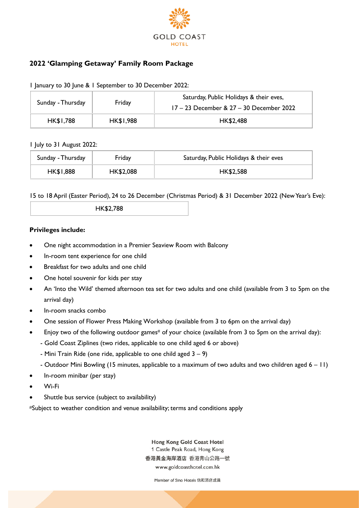

# **2022 'Glamping Getaway' Family Room Package**

| Sunday - Thursday | Friday    | Saturday, Public Holidays & their eves,<br>17 – 23 December & 27 – 30 December 2022 |
|-------------------|-----------|-------------------------------------------------------------------------------------|
| HK\$1,788         | HK\$1,988 | <b>HK\$2,488</b>                                                                    |

1 January to 30 June & 1 September to 30 December 2022:

#### 1 July to 31 August 2022:

| Sunday - Thursday | Friday    | Saturday, Public Holidays & their eves |
|-------------------|-----------|----------------------------------------|
| HK\$1,888         | HK\$2,088 | HK\$2,588                              |

15 to 18 April (Easter Period), 24 to 26 December (Christmas Period) & 31 December 2022 (New Year's Eve):

| HK\$2,788 |  |
|-----------|--|
|           |  |

#### **Privileges include:**

- One night accommodation in a Premier Seaview Room with Balcony
- In-room tent experience for one child
- Breakfast for two adults and one child
- One hotel souvenir for kids per stay
- An 'Into the Wild' themed afternoon tea set for two adults and one child (available from 3 to 5pm on the arrival day)
- In-room snacks combo
- One session of Flower Press Making Workshop (available from 3 to 6pm on the arrival day)
- Enjoy two of the following outdoor games# of your choice (available from 3 to 5pm on the arrival day):
	- Gold Coast Ziplines (two rides, applicable to one child aged 6 or above)
	- Mini Train Ride (one ride, applicable to one child aged  $3 9$ )
	- Outdoor Mini Bowling (15 minutes, applicable to a maximum of two adults and two children aged 6 11)
- In-room minibar (per stay)
- Wi-Fi
- Shuttle bus service (subject to availability)

#Subject to weather condition and venue availability; terms and conditions apply

Hong Kong Gold Coast Hotel 1 Castle Peak Road, Hong Kong 香港黃金海岸酒店 香港青山公路一號 www.goldcoasthotel.com.hk

Member of Sino Hotels 信和酒店成員